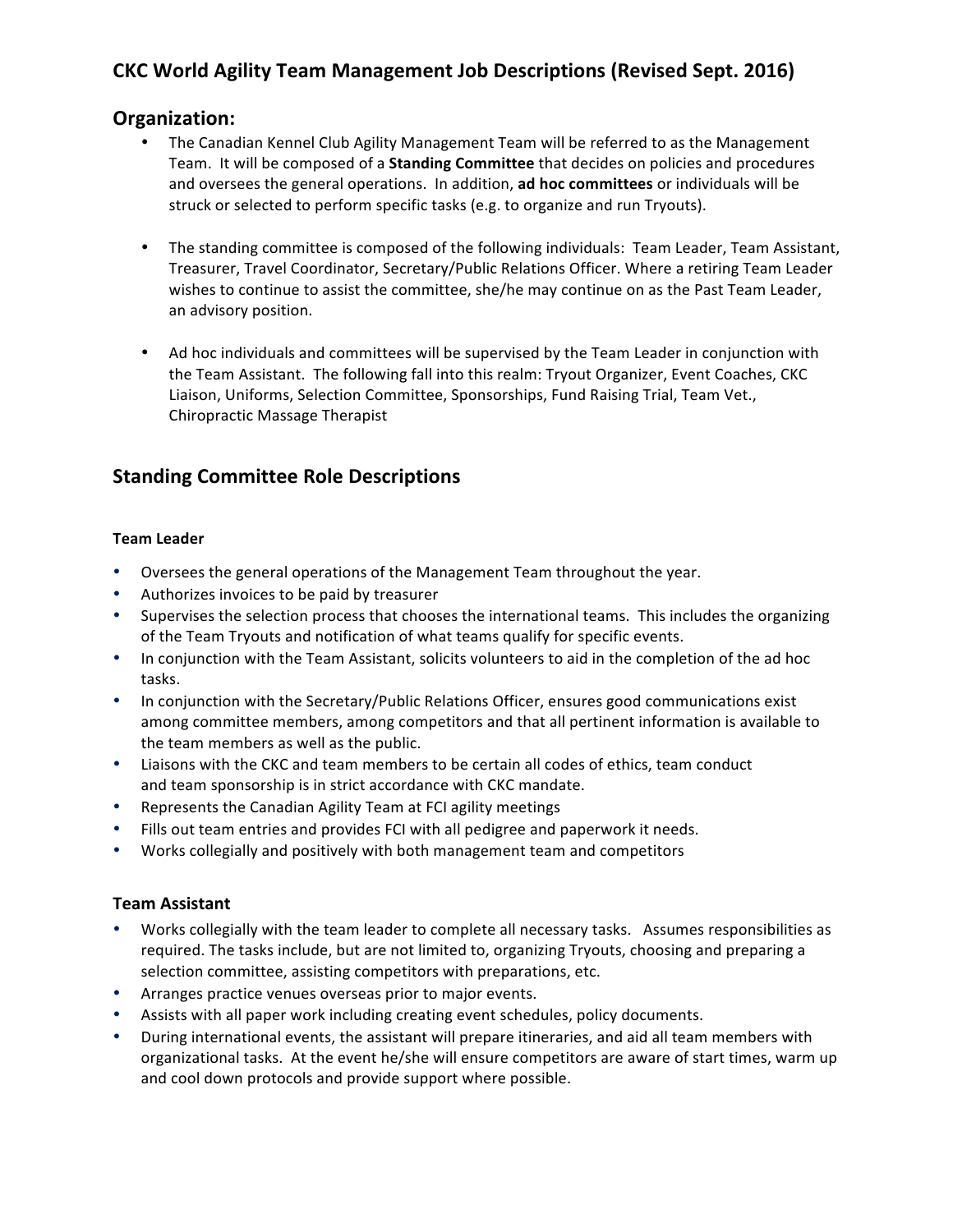# **CKC World Agility Team Management Job Descriptions (Revised Sept. 2016)**

## **Organization:**

- The Canadian Kennel Club Agility Management Team will be referred to as the Management Team. It will be composed of a **Standing Committee** that decides on policies and procedures and oversees the general operations. In addition, **ad hoc committees** or individuals will be struck or selected to perform specific tasks (e.g. to organize and run Tryouts).
- The standing committee is composed of the following individuals: Team Leader, Team Assistant, Treasurer, Travel Coordinator, Secretary/Public Relations Officer. Where a retiring Team Leader wishes to continue to assist the committee, she/he may continue on as the Past Team Leader, an advisory position.
- Ad hoc individuals and committees will be supervised by the Team Leader in conjunction with the Team Assistant. The following fall into this realm: Tryout Organizer, Event Coaches, CKC Liaison, Uniforms, Selection Committee, Sponsorships, Fund Raising Trial, Team Vet., Chiropractic Massage Therapist

## **Standing Committee Role Descriptions**

#### **Team Leader**

- Oversees the general operations of the Management Team throughout the year.
- Authorizes invoices to be paid by treasurer
- Supervises the selection process that chooses the international teams. This includes the organizing of the Team Tryouts and notification of what teams qualify for specific events.
- In conjunction with the Team Assistant, solicits volunteers to aid in the completion of the ad hoc tasks.
- In conjunction with the Secretary/Public Relations Officer, ensures good communications exist among committee members, among competitors and that all pertinent information is available to the team members as well as the public.
- Liaisons with the CKC and team members to be certain all codes of ethics, team conduct and team sponsorship is in strict accordance with CKC mandate.
- Represents the Canadian Agility Team at FCI agility meetings
- Fills out team entries and provides FCI with all pedigree and paperwork it needs.
- Works collegially and positively with both management team and competitors

#### **Team Assistant**

- Works collegially with the team leader to complete all necessary tasks. Assumes responsibilities as required. The tasks include, but are not limited to, organizing Tryouts, choosing and preparing a selection committee, assisting competitors with preparations, etc.
- Arranges practice venues overseas prior to major events.
- Assists with all paper work including creating event schedules, policy documents.
- During international events, the assistant will prepare itineraries, and aid all team members with organizational tasks. At the event he/she will ensure competitors are aware of start times, warm up and cool down protocols and provide support where possible.